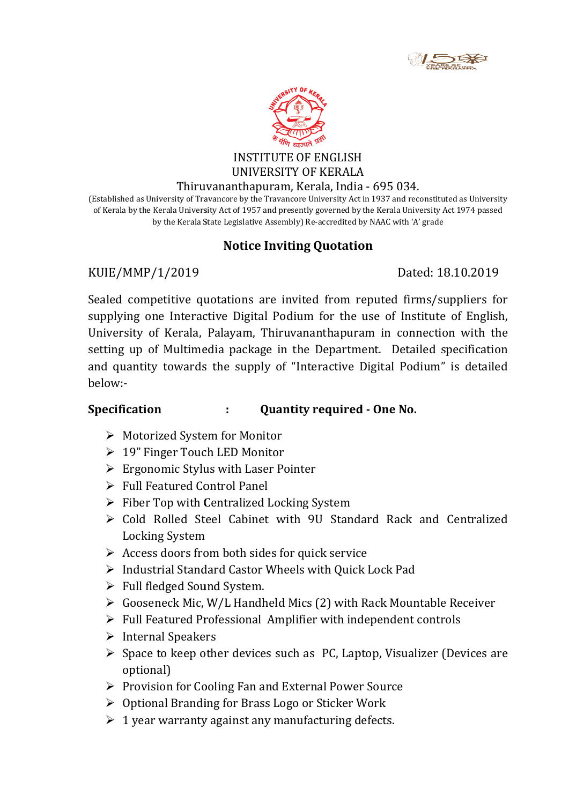



#### INSTITUTE OF ENGLISH UNIVERSITY OF KERALA

#### Thiruvananthapuram, Kerala, India - 695 034.

(Established as University of Travancore by the Travancore University Act in 1937 and reconstituted as University Established as University of Travancore by the Travancore University Act in 1937 and reconstituted as Universit<br>of Kerala by the Kerala University Act of 1957 and presently governed by the Kerala University Act 1974 passed by the Kerala State Legislative Assembly) Re-accredited by NAAC with 'A' grade

# Notice Inviting Quotation

## KUIE/MMP/1/2019

# Dated: 18.10.2019

Sealed competitive quotations are invited from reputed firms/suppliers for supplying one Interactive Digital Podium for the use of Institute of English, Sealed competitive quotations are invited from reputed firms/suppliers for<br>supplying one Interactive Digital Podium for the use of Institute of English,<br>University of Kerala, Palayam, Thiruvananthapuram in connection with setting up of Multimedia package in the Department. Detailed specification and quantity towards the supply of "Interactive Digital Podium" is detailed below:- Sislative Assembly) Re-accredited by NAAC with 'A' grade<br>
Dated: 18.10.2019<br>
Dated: 18.10.2019<br>
Dated: 18.10.2019<br>
Dated: 18.10.2019<br>
Dated: 18.10.2019<br>
Dackage in the Department. Detailed specificatio<br>
Amory by of "Intera

#### Specification : Quantity required - One No.

- Motorized System for Monitor
- 19" Finger Touch LED Monitor
- $\geq 19$ " Finger Touch LED Monitor<br>  $\geq$  Ergonomic Stylus with Laser Pointer
- $\triangleright$  Full Featured Control Panel
- $\triangleright$  Fiber Top with Centralized Locking System
- ► Fiber Top with Centralized Locking System<br>► Cold Rolled Steel Cabinet with 9U Standard Rack and Centralized Locking System
- $\triangleright$  Access doors from both sides for quick service
- Access doors from both sides for quick service<br>  $\triangleright$  Industrial Standard Castor Wheels with Quick Lock Pad
- Full fledged Sound System.
- Gooseneck Mic, W/L Handheld Mics (2) with Rack Mountable Receiver → Industrial Standard Castor Wheels with Quick Lock Pad<br>
→ Full fledged Sound System.<br>
→ Gooseneck Mic, W/L Handheld Mics (2) with Rack Mountable Receiver<br>
→ Full Featured Professional Amplifier with independent controls<br>
- $\triangleright$  Gooseneck Mic, W/L Handheld Mics (2) with Rack Mountable Re<br> $\triangleright$  Full Featured Professional Amplifier with independent controls
- $\triangleright$  Internal Speakers
- optional)
- $\triangleright$  Provision for Cooling Fan and External Power Source
- $\triangleright$  Optional Branding for Brass Logo or Sticker Work
- $\geq 1$  year warranty against any manufacturing defects.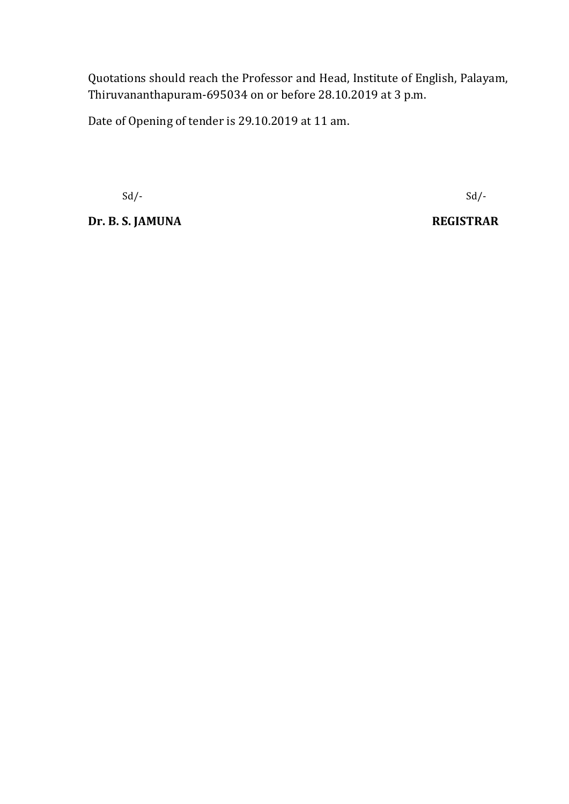Quotations should reach the Professor and Head, Institute of English, Palayam, Thiruvananthapuram-695034 on or before 28.10.2019 at 3 p.m.

Date of Opening of tender is 29.10.2019 at 11 am.

Dr. B. S. JAMUNA REGISTRAR

 $Sd$ - $Sd$ -